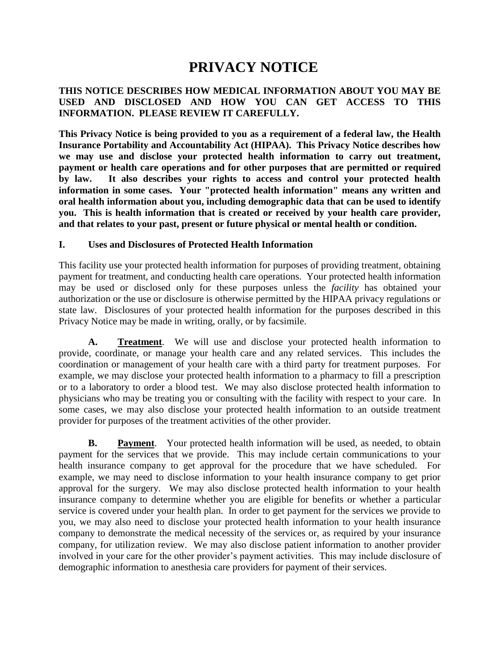# **PRIVACY NOTICE**

#### **THIS NOTICE DESCRIBES HOW MEDICAL INFORMATION ABOUT YOU MAY BE USED AND DISCLOSED AND HOW YOU CAN GET ACCESS TO THIS INFORMATION. PLEASE REVIEW IT CAREFULLY.**

**This Privacy Notice is being provided to you as a requirement of a federal law, the Health Insurance Portability and Accountability Act (HIPAA). This Privacy Notice describes how we may use and disclose your protected health information to carry out treatment, payment or health care operations and for other purposes that are permitted or required by law. It also describes your rights to access and control your protected health information in some cases. Your "protected health information" means any written and oral health information about you, including demographic data that can be used to identify you. This is health information that is created or received by your health care provider, and that relates to your past, present or future physical or mental health or condition.** 

#### **I. Uses and Disclosures of Protected Health Information**

This facility use your protected health information for purposes of providing treatment, obtaining payment for treatment, and conducting health care operations. Your protected health information may be used or disclosed only for these purposes unless the *facility* has obtained your authorization or the use or disclosure is otherwise permitted by the HIPAA privacy regulations or state law. Disclosures of your protected health information for the purposes described in this Privacy Notice may be made in writing, orally, or by facsimile.

**A. Treatment**. We will use and disclose your protected health information to provide, coordinate, or manage your health care and any related services. This includes the coordination or management of your health care with a third party for treatment purposes. For example, we may disclose your protected health information to a pharmacy to fill a prescription or to a laboratory to order a blood test. We may also disclose protected health information to physicians who may be treating you or consulting with the facility with respect to your care. In some cases, we may also disclose your protected health information to an outside treatment provider for purposes of the treatment activities of the other provider.

**B.** Payment. Your protected health information will be used, as needed, to obtain payment for the services that we provide. This may include certain communications to your health insurance company to get approval for the procedure that we have scheduled. For example, we may need to disclose information to your health insurance company to get prior approval for the surgery. We may also disclose protected health information to your health insurance company to determine whether you are eligible for benefits or whether a particular service is covered under your health plan. In order to get payment for the services we provide to you, we may also need to disclose your protected health information to your health insurance company to demonstrate the medical necessity of the services or, as required by your insurance company, for utilization review. We may also disclose patient information to another provider involved in your care for the other provider's payment activities. This may include disclosure of demographic information to anesthesia care providers for payment of their services.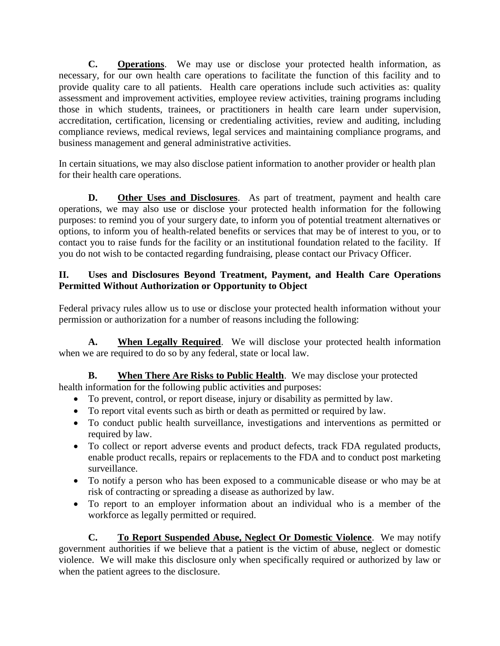**C. Operations**. We may use or disclose your protected health information, as necessary, for our own health care operations to facilitate the function of this facility and to provide quality care to all patients. Health care operations include such activities as: quality assessment and improvement activities, employee review activities, training programs including those in which students, trainees, or practitioners in health care learn under supervision, accreditation, certification, licensing or credentialing activities, review and auditing, including compliance reviews, medical reviews, legal services and maintaining compliance programs, and business management and general administrative activities.

In certain situations, we may also disclose patient information to another provider or health plan for their health care operations.

**D. Other Uses and Disclosures**.As part of treatment, payment and health care operations, we may also use or disclose your protected health information for the following purposes: to remind you of your surgery date, to inform you of potential treatment alternatives or options, to inform you of health-related benefits or services that may be of interest to you, or to contact you to raise funds for the facility or an institutional foundation related to the facility. If you do not wish to be contacted regarding fundraising, please contact our Privacy Officer.

## **II. Uses and Disclosures Beyond Treatment, Payment, and Health Care Operations Permitted Without Authorization or Opportunity to Object**

Federal privacy rules allow us to use or disclose your protected health information without your permission or authorization for a number of reasons including the following:

A. When Legally Required. We will disclose your protected health information when we are required to do so by any federal, state or local law.

**B. When There Are Risks to Public Health**. We may disclose your protected health information for the following public activities and purposes:

- To prevent, control, or report disease, injury or disability as permitted by law.
- To report vital events such as birth or death as permitted or required by law.
- To conduct public health surveillance, investigations and interventions as permitted or required by law.
- To collect or report adverse events and product defects, track FDA regulated products, enable product recalls, repairs or replacements to the FDA and to conduct post marketing surveillance.
- To notify a person who has been exposed to a communicable disease or who may be at risk of contracting or spreading a disease as authorized by law.
- To report to an employer information about an individual who is a member of the workforce as legally permitted or required.

**C. To Report Suspended Abuse, Neglect Or Domestic Violence**. We may notify government authorities if we believe that a patient is the victim of abuse, neglect or domestic violence. We will make this disclosure only when specifically required or authorized by law or when the patient agrees to the disclosure.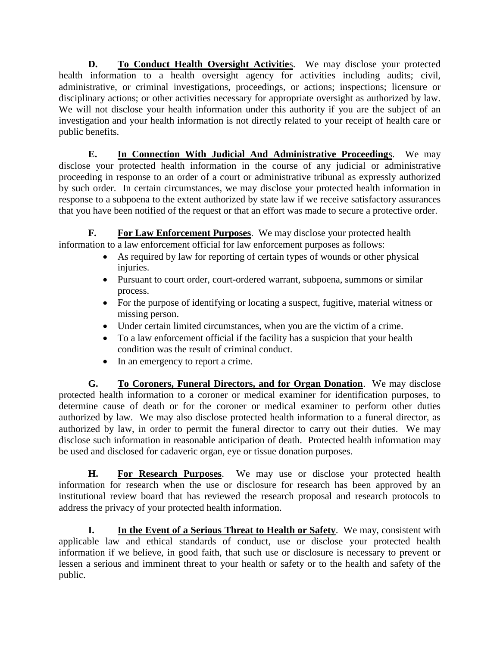**D. To Conduct Health Oversight Activitie**s. We may disclose your protected health information to a health oversight agency for activities including audits; civil, administrative, or criminal investigations, proceedings, or actions; inspections; licensure or disciplinary actions; or other activities necessary for appropriate oversight as authorized by law. We will not disclose your health information under this authority if you are the subject of an investigation and your health information is not directly related to your receipt of health care or public benefits.

**E. In Connection With Judicial And Administrative Proceeding**s. We may disclose your protected health information in the course of any judicial or administrative proceeding in response to an order of a court or administrative tribunal as expressly authorized by such order. In certain circumstances, we may disclose your protected health information in response to a subpoena to the extent authorized by state law if we receive satisfactory assurances that you have been notified of the request or that an effort was made to secure a protective order.

**F. For Law Enforcement Purposes**. We may disclose your protected health information to a law enforcement official for law enforcement purposes as follows:

- As required by law for reporting of certain types of wounds or other physical injuries.
- Pursuant to court order, court-ordered warrant, subpoena, summons or similar process.
- For the purpose of identifying or locating a suspect, fugitive, material witness or missing person.
- Under certain limited circumstances, when you are the victim of a crime.
- To a law enforcement official if the facility has a suspicion that your health condition was the result of criminal conduct.
- In an emergency to report a crime.

**G. To Coroners, Funeral Directors, and for Organ Donation**. We may disclose protected health information to a coroner or medical examiner for identification purposes, to determine cause of death or for the coroner or medical examiner to perform other duties authorized by law. We may also disclose protected health information to a funeral director, as authorized by law, in order to permit the funeral director to carry out their duties. We may disclose such information in reasonable anticipation of death. Protected health information may be used and disclosed for cadaveric organ, eye or tissue donation purposes.

**H. For Research Purposes**. We may use or disclose your protected health information for research when the use or disclosure for research has been approved by an institutional review board that has reviewed the research proposal and research protocols to address the privacy of your protected health information.

**I.** In the Event of a Serious Threat to Health or Safety. We may, consistent with applicable law and ethical standards of conduct, use or disclose your protected health information if we believe, in good faith, that such use or disclosure is necessary to prevent or lessen a serious and imminent threat to your health or safety or to the health and safety of the public.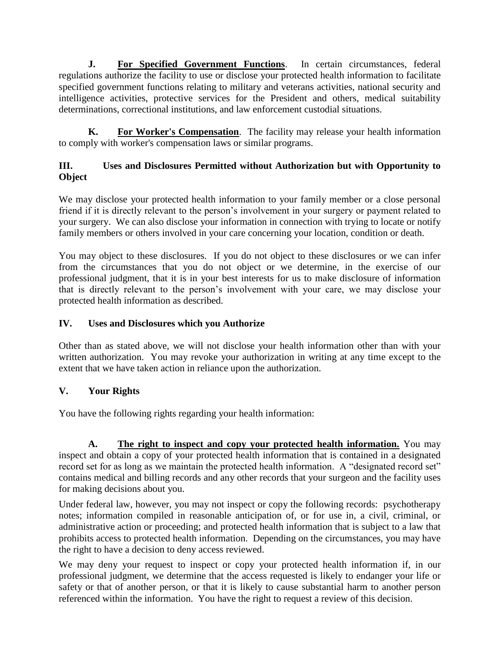**J. For Specified Government Functions**. In certain circumstances, federal regulations authorize the facility to use or disclose your protected health information to facilitate specified government functions relating to military and veterans activities, national security and intelligence activities, protective services for the President and others, medical suitability determinations, correctional institutions, and law enforcement custodial situations.

**K. For Worker's Compensation**. The facility may release your health information to comply with worker's compensation laws or similar programs.

## **III. Uses and Disclosures Permitted without Authorization but with Opportunity to Object**

We may disclose your protected health information to your family member or a close personal friend if it is directly relevant to the person's involvement in your surgery or payment related to your surgery. We can also disclose your information in connection with trying to locate or notify family members or others involved in your care concerning your location, condition or death.

You may object to these disclosures. If you do not object to these disclosures or we can infer from the circumstances that you do not object or we determine, in the exercise of our professional judgment, that it is in your best interests for us to make disclosure of information that is directly relevant to the person's involvement with your care, we may disclose your protected health information as described.

## **IV. Uses and Disclosures which you Authorize**

Other than as stated above, we will not disclose your health information other than with your written authorization. You may revoke your authorization in writing at any time except to the extent that we have taken action in reliance upon the authorization.

#### **V. Your Rights**

You have the following rights regarding your health information:

**A. The right to inspect and copy your protected health information.** You may inspect and obtain a copy of your protected health information that is contained in a designated record set for as long as we maintain the protected health information. A "designated record set" contains medical and billing records and any other records that your surgeon and the facility uses for making decisions about you.

Under federal law, however, you may not inspect or copy the following records: psychotherapy notes; information compiled in reasonable anticipation of, or for use in, a civil, criminal, or administrative action or proceeding; and protected health information that is subject to a law that prohibits access to protected health information. Depending on the circumstances, you may have the right to have a decision to deny access reviewed.

We may deny your request to inspect or copy your protected health information if, in our professional judgment, we determine that the access requested is likely to endanger your life or safety or that of another person, or that it is likely to cause substantial harm to another person referenced within the information. You have the right to request a review of this decision.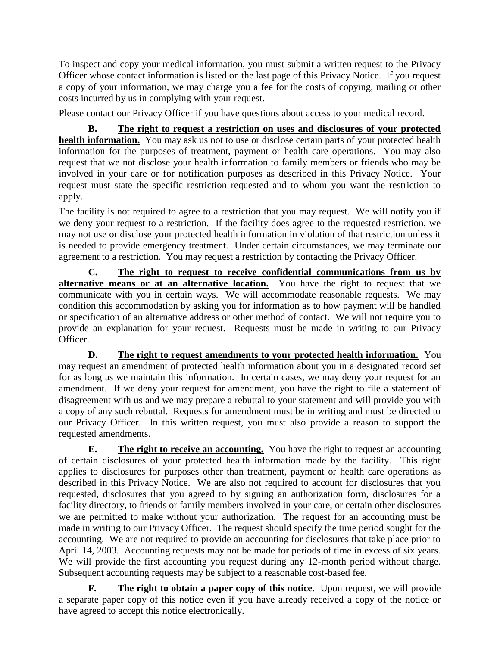To inspect and copy your medical information, you must submit a written request to the Privacy Officer whose contact information is listed on the last page of this Privacy Notice. If you request a copy of your information, we may charge you a fee for the costs of copying, mailing or other costs incurred by us in complying with your request.

Please contact our Privacy Officer if you have questions about access to your medical record.

**B. The right to request a restriction on uses and disclosures of your protected health information.** You may ask us not to use or disclose certain parts of your protected health information for the purposes of treatment, payment or health care operations. You may also request that we not disclose your health information to family members or friends who may be involved in your care or for notification purposes as described in this Privacy Notice. Your request must state the specific restriction requested and to whom you want the restriction to apply.

The facility is not required to agree to a restriction that you may request. We will notify you if we deny your request to a restriction. If the facility does agree to the requested restriction, we may not use or disclose your protected health information in violation of that restriction unless it is needed to provide emergency treatment. Under certain circumstances, we may terminate our agreement to a restriction. You may request a restriction by contacting the Privacy Officer.

**C. The right to request to receive confidential communications from us by alternative means or at an alternative location.** You have the right to request that we communicate with you in certain ways. We will accommodate reasonable requests. We may condition this accommodation by asking you for information as to how payment will be handled or specification of an alternative address or other method of contact. We will not require you to provide an explanation for your request. Requests must be made in writing to our Privacy Officer.

**D. The right to request amendments to your protected health information.** You may request an amendment of protected health information about you in a designated record set for as long as we maintain this information. In certain cases, we may deny your request for an amendment. If we deny your request for amendment, you have the right to file a statement of disagreement with us and we may prepare a rebuttal to your statement and will provide you with a copy of any such rebuttal. Requests for amendment must be in writing and must be directed to our Privacy Officer. In this written request, you must also provide a reason to support the requested amendments.

**E.** The right to receive an accounting. You have the right to request an accounting of certain disclosures of your protected health information made by the facility. This right applies to disclosures for purposes other than treatment, payment or health care operations as described in this Privacy Notice. We are also not required to account for disclosures that you requested, disclosures that you agreed to by signing an authorization form, disclosures for a facility directory, to friends or family members involved in your care, or certain other disclosures we are permitted to make without your authorization. The request for an accounting must be made in writing to our Privacy Officer. The request should specify the time period sought for the accounting. We are not required to provide an accounting for disclosures that take place prior to April 14, 2003. Accounting requests may not be made for periods of time in excess of six years. We will provide the first accounting you request during any 12-month period without charge. Subsequent accounting requests may be subject to a reasonable cost-based fee.

**F. The right to obtain a paper copy of this notice.** Upon request, we will provide a separate paper copy of this notice even if you have already received a copy of the notice or have agreed to accept this notice electronically.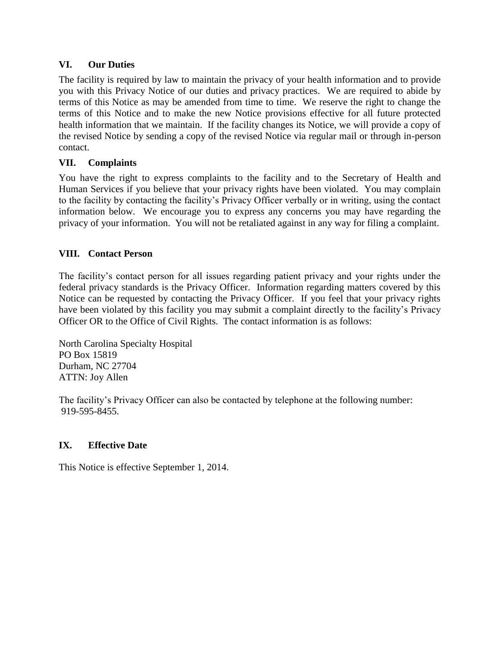#### **VI. Our Duties**

The facility is required by law to maintain the privacy of your health information and to provide you with this Privacy Notice of our duties and privacy practices. We are required to abide by terms of this Notice as may be amended from time to time. We reserve the right to change the terms of this Notice and to make the new Notice provisions effective for all future protected health information that we maintain. If the facility changes its Notice, we will provide a copy of the revised Notice by sending a copy of the revised Notice via regular mail or through in-person contact.

#### **VII. Complaints**

You have the right to express complaints to the facility and to the Secretary of Health and Human Services if you believe that your privacy rights have been violated. You may complain to the facility by contacting the facility's Privacy Officer verbally or in writing, using the contact information below. We encourage you to express any concerns you may have regarding the privacy of your information. You will not be retaliated against in any way for filing a complaint.

### **VIII. Contact Person**

The facility's contact person for all issues regarding patient privacy and your rights under the federal privacy standards is the Privacy Officer. Information regarding matters covered by this Notice can be requested by contacting the Privacy Officer. If you feel that your privacy rights have been violated by this facility you may submit a complaint directly to the facility's Privacy Officer OR to the Office of Civil Rights. The contact information is as follows:

North Carolina Specialty Hospital PO Box 15819 Durham, NC 27704 ATTN: Joy Allen

The facility's Privacy Officer can also be contacted by telephone at the following number: 919-595-8455.

#### **IX. Effective Date**

This Notice is effective September 1, 2014.